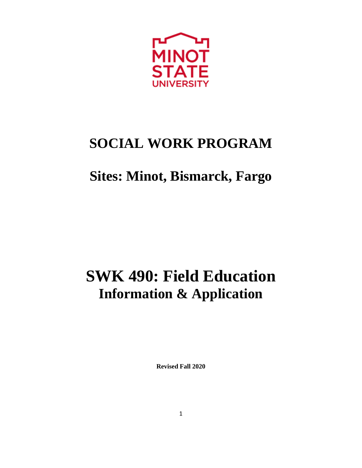

# **SOCIAL WORK PROGRAM**

# **Sites: Minot, Bismarck, Fargo**

# **SWK 490: Field Education Information & Application**

**Revised Fall 2020**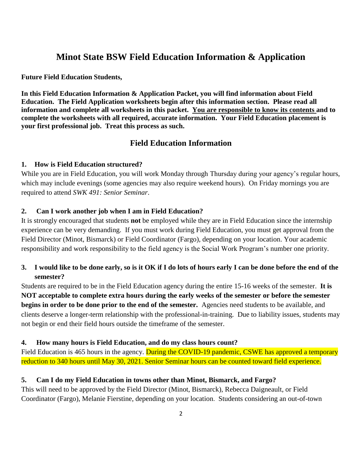# **Minot State BSW Field Education Information & Application**

### **Future Field Education Students,**

**In this Field Education Information & Application Packet, you will find information about Field Education. The Field Application worksheets begin after this information section. Please read all information and complete all worksheets in this packet. You are responsible to know its contents and to complete the worksheets with all required, accurate information. Your Field Education placement is your first professional job. Treat this process as such.**

## **Field Education Information**

## **1. How is Field Education structured?**

While you are in Field Education, you will work Monday through Thursday during your agency's regular hours, which may include evenings (some agencies may also require weekend hours). On Friday mornings you are required to attend *SWK 491: Senior Seminar*.

## **2. Can I work another job when I am in Field Education?**

It is strongly encouraged that students **not** be employed while they are in Field Education since the internship experience can be very demanding. If you must work during Field Education, you must get approval from the Field Director (Minot, Bismarck) or Field Coordinator (Fargo), depending on your location. Your academic responsibility and work responsibility to the field agency is the Social Work Program's number one priority.

## **3. I would like to be done early, so is it OK if I do lots of hours early I can be done before the end of the semester?**

Students are required to be in the Field Education agency during the entire 15-16 weeks of the semester. **It is NOT acceptable to complete extra hours during the early weeks of the semester or before the semester begins in order to be done prior to the end of the semester.** Agencies need students to be available, and clients deserve a longer-term relationship with the professional-in-training. Due to liability issues, students may not begin or end their field hours outside the timeframe of the semester.

### **4. How many hours is Field Education, and do my class hours count?**

Field Education is 465 hours in the agency. During the COVID-19 pandemic, CSWE has approved a temporary reduction to 340 hours until May 30, 2021. Senior Seminar hours can be counted toward field experience.

#### **5. Can I do my Field Education in towns other than Minot, Bismarck, and Fargo?**

This will need to be approved by the Field Director (Minot, Bismarck), Rebecca Daigneault, or Field Coordinator (Fargo), Melanie Fierstine, depending on your location. Students considering an out-of-town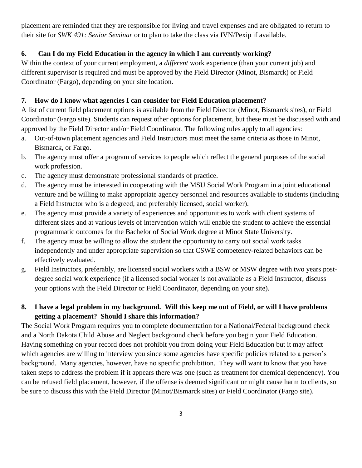placement are reminded that they are responsible for living and travel expenses and are obligated to return to their site for *SWK 491: Senior Seminar* or to plan to take the class via IVN/Pexip if available.

# **6. Can I do my Field Education in the agency in which I am currently working?**

Within the context of your current employment, a *different* work experience (than your current job) and different supervisor is required and must be approved by the Field Director (Minot, Bismarck) or Field Coordinator (Fargo), depending on your site location.

## **7. How do I know what agencies I can consider for Field Education placement?**

A list of current field placement options is available from the Field Director (Minot, Bismarck sites), or Field Coordinator (Fargo site). Students can request other options for placement, but these must be discussed with and approved by the Field Director and/or Field Coordinator. The following rules apply to all agencies:

- a. Out-of-town placement agencies and Field Instructors must meet the same criteria as those in Minot, Bismarck, or Fargo.
- b. The agency must offer a program of services to people which reflect the general purposes of the social work profession.
- c. The agency must demonstrate professional standards of practice.
- d. The agency must be interested in cooperating with the MSU Social Work Program in a joint educational venture and be willing to make appropriate agency personnel and resources available to students (including a Field Instructor who is a degreed, and preferably licensed, social worker).
- e. The agency must provide a variety of experiences and opportunities to work with client systems of different sizes and at various levels of intervention which will enable the student to achieve the essential programmatic outcomes for the Bachelor of Social Work degree at Minot State University.
- f. The agency must be willing to allow the student the opportunity to carry out social work tasks independently and under appropriate supervision so that CSWE competency-related behaviors can be effectively evaluated.
- g. Field Instructors, preferably, are licensed social workers with a BSW or MSW degree with two years postdegree social work experience (if a licensed social worker is not available as a Field Instructor, discuss your options with the Field Director or Field Coordinator, depending on your site).

# **8. I have a legal problem in my background. Will this keep me out of Field, or will I have problems getting a placement? Should I share this information?**

The Social Work Program requires you to complete documentation for a National/Federal background check and a North Dakota Child Abuse and Neglect background check before you begin your Field Education. Having something on your record does not prohibit you from doing your Field Education but it may affect which agencies are willing to interview you since some agencies have specific policies related to a person's background. Many agencies, however, have no specific prohibition. They will want to know that you have taken steps to address the problem if it appears there was one (such as treatment for chemical dependency). You can be refused field placement, however, if the offense is deemed significant or might cause harm to clients, so be sure to discuss this with the Field Director (Minot/Bismarck sites) or Field Coordinator (Fargo site).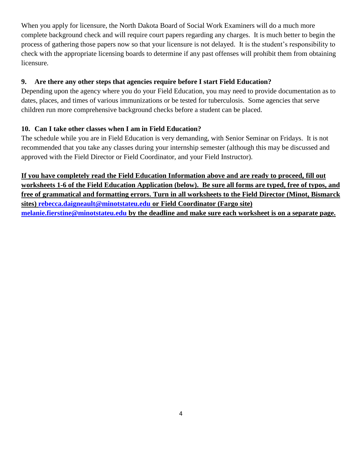When you apply for licensure, the North Dakota Board of Social Work Examiners will do a much more complete background check and will require court papers regarding any charges. It is much better to begin the process of gathering those papers now so that your licensure is not delayed. It is the student's responsibility to check with the appropriate licensing boards to determine if any past offenses will prohibit them from obtaining licensure.

## **9. Are there any other steps that agencies require before I start Field Education?**

Depending upon the agency where you do your Field Education, you may need to provide documentation as to dates, places, and times of various immunizations or be tested for tuberculosis. Some agencies that serve children run more comprehensive background checks before a student can be placed.

## **10. Can I take other classes when I am in Field Education?**

The schedule while you are in Field Education is very demanding, with Senior Seminar on Fridays. It is not recommended that you take any classes during your internship semester (although this may be discussed and approved with the Field Director or Field Coordinator, and your Field Instructor).

**If you have completely read the Field Education Information above and are ready to proceed, fill out worksheets 1-6 of the Field Education Application (below). Be sure all forms are typed, free of typos, and free of grammatical and formatting errors. Turn in all worksheets to the Field Director (Minot, Bismarck sites) [rebecca.daigneault@minotstateu.edu](mailto:rebecca.daigneault@minotstateu.edu) or Field Coordinator (Fargo site) [melanie.fierstine@minotstateu.edu](mailto:melanie.fierstine@minotstateu.edu) by the deadline and make sure each worksheet is on a separate page.**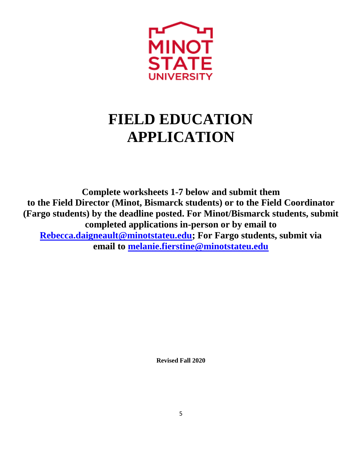

# **FIELD EDUCATION APPLICATION**

**Complete worksheets 1-7 below and submit them to the Field Director (Minot, Bismarck students) or to the Field Coordinator (Fargo students) by the deadline posted. For Minot/Bismarck students, submit completed applications in-person or by email to [Rebecca.daigneault@minotstateu.edu;](mailto:Rebecca.daigneault@minotstateu.edu) For Fargo students, submit via email to [melanie.fierstine@minotstateu.edu](mailto:melanie.fierstine@minotstateu.edu)**

**Revised Fall 2020**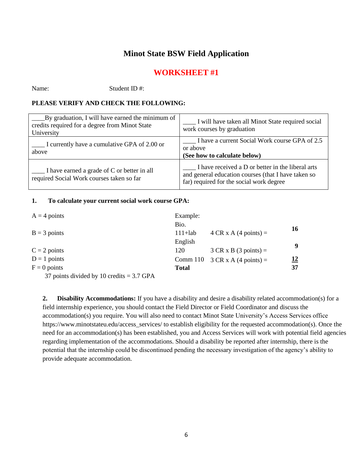# **Minot State BSW Field Application**

# **WORKSHEET #1**

Name: Student ID #:

## **PLEASE VERIFY AND CHECK THE FOLLOWING:**

| By graduation, I will have earned the minimum of<br>credits required for a degree from Minot State<br>University | I will have taken all Minot State required social<br>work courses by graduation                                                                                     |
|------------------------------------------------------------------------------------------------------------------|---------------------------------------------------------------------------------------------------------------------------------------------------------------------|
| I currently have a cumulative GPA of 2.00 or<br>above                                                            | I have a current Social Work course GPA of 2.5<br>or above<br>(See how to calculate below)                                                                          |
| $\blacksquare$ I have earned a grade of C or better in all<br>required Social Work courses taken so far          | $\blacksquare$ I have received a D or better in the liberal arts<br>and general education courses (that I have taken so<br>far) required for the social work degree |

#### **1. To calculate your current social work course GPA:**

| $A = 4$ points | Example:     |                                       |    |
|----------------|--------------|---------------------------------------|----|
|                | Bio.         |                                       | 16 |
| $B = 3$ points | $111+lab$    | $4 CR \times A (4 points) =$          |    |
|                | English      |                                       | 9  |
| $C = 2$ points | 120          | $3 CR \times B$ (3 points) =          |    |
| $D = 1$ points |              | Comm 110 $3 CR \times A$ (4 points) = | 12 |
| $F = 0$ points | <b>Total</b> |                                       | 37 |

37 points divided by 10 credits = 3.7 GPA

**2. Disability Accommodations:** If you have a disability and desire a disability related accommodation(s) for a field internship experience, you should contact the Field Director or Field Coordinator and discuss the accommodation(s) you require. You will also need to contact Minot State University's Access Services office https://www.minotstateu.edu/access\_services/ to establish eligibility for the requested accommodation(s). Once the need for an accommodation(s) has been established, you and Access Services will work with potential field agencies regarding implementation of the accommodations. Should a disability be reported after internship, there is the potential that the internship could be discontinued pending the necessary investigation of the agency's ability to provide adequate accommodation.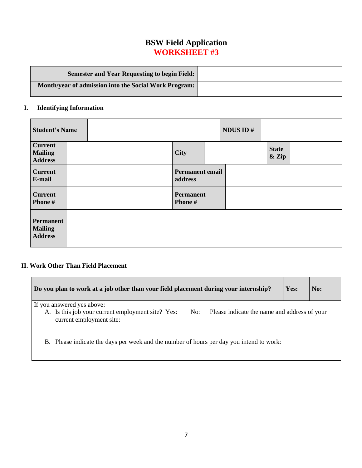# **BSW Field Application WORKSHEET #3**

| <b>Semester and Year Requesting to begin Field:</b>   |  |
|-------------------------------------------------------|--|
| Month/year of admission into the Social Work Program: |  |

## **I. Identifying Information**

| <b>Student's Name</b>                              |  |  |  |  |                                   |  | NDUS ID# |                       |  |  |
|----------------------------------------------------|--|--|--|--|-----------------------------------|--|----------|-----------------------|--|--|
| <b>Current</b><br><b>Mailing</b><br><b>Address</b> |  |  |  |  | <b>City</b>                       |  |          | <b>State</b><br>& Zip |  |  |
| <b>Current</b><br>E-mail                           |  |  |  |  | <b>Permanent email</b><br>address |  |          |                       |  |  |
| <b>Current</b><br>Phone #                          |  |  |  |  | <b>Permanent</b><br>Phone #       |  |          |                       |  |  |
| Permanent<br><b>Mailing</b><br><b>Address</b>      |  |  |  |  |                                   |  |          |                       |  |  |

# **II. Work Other Than Field Placement**

| Do you plan to work at a job other than your field placement during your internship?                                                 | Yes: | No: |  |  |  |  |  |  |  |  |
|--------------------------------------------------------------------------------------------------------------------------------------|------|-----|--|--|--|--|--|--|--|--|
| If you answered yes above:                                                                                                           |      |     |  |  |  |  |  |  |  |  |
| A. Is this job your current employment site? Yes:<br>No:<br>Please indicate the name and address of your<br>current employment site: |      |     |  |  |  |  |  |  |  |  |
| B. Please indicate the days per week and the number of hours per day you intend to work:                                             |      |     |  |  |  |  |  |  |  |  |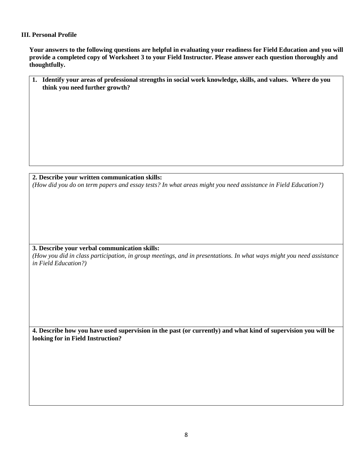## **III. Personal Profile**

**Your answers to the following questions are helpful in evaluating your readiness for Field Education and you will provide a completed copy of Worksheet 3 to your Field Instructor. Please answer each question thoroughly and thoughtfully.**

| 1. Identify your areas of professional strengths in social work knowledge, skills, and values. Where do you |  |
|-------------------------------------------------------------------------------------------------------------|--|
| think you need further growth?                                                                              |  |

**2. Describe your written communication skills:** *(How did you do on term papers and essay tests? In what areas might you need assistance in Field Education?)*

## **3. Describe your verbal communication skills:**

*(How you did in class participation, in group meetings, and in presentations. In what ways might you need assistance in Field Education?)*

**4. Describe how you have used supervision in the past (or currently) and what kind of supervision you will be looking for in Field Instruction?**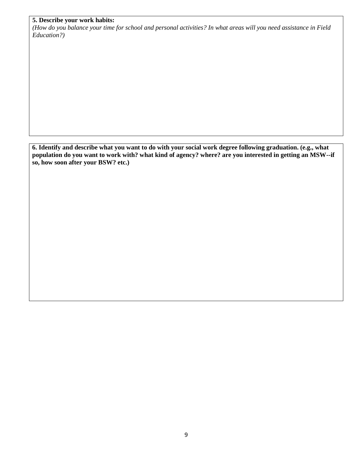## **5. Describe your work habits:**

*(How do you balance your time for school and personal activities? In what areas will you need assistance in Field Education?)*

**6. Identify and describe what you want to do with your social work degree following graduation. (e.g., what population do you want to work with? what kind of agency? where? are you interested in getting an MSW--if so, how soon after your BSW? etc.)**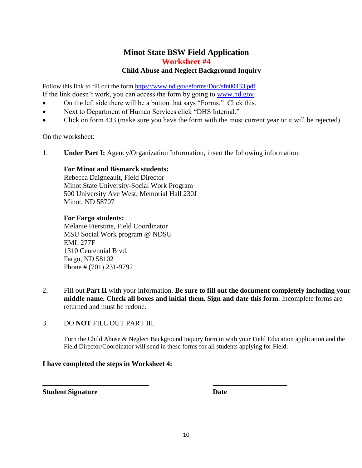# **Minot State BSW Field Application Worksheet #4 Child Abuse and Neglect Background Inquiry**

Follow this link to fill out the form <https://www.nd.gov/eforms/Doc/sfn00433.pdf> If the link doesn't work, you can access the form by going to [www.nd.gov](http://www.nd.gov/)

- On the left side there will be a button that says "Forms." Click this.
- Next to Department of Human Services click "DHS Internal."
- Click on form 433 (make sure you have the form with the most current year or it will be rejected).

On the worksheet:

1. **Under Part I:** Agency/Organization Information, insert the following information:

## **For Minot and Bismarck students:**

Rebecca Daigneault, Field Director Minot State University-Social Work Program 500 University Ave West, Memorial Hall 230J Minot, ND 58707

## **For Fargo students:**

Melanie Fierstine, Field Coordinator MSU Social Work program @ NDSU EML 277F 1310 Centennial Blvd. Fargo, ND 58102 Phone # (701) 231-9792

- 2. Fill out **Part II** with your information. **Be sure to fill out the document completely including your middle name. Check all boxes and initial them. Sign and date this form**. Incomplete forms are returned and must be redone.
- 3. DO **NOT** FILL OUT PART III.

Turn the Child Abuse & Neglect Background Inquiry form in with your Field Education application and the Field Director/Coordinator will send in these forms for all students applying for Field.

## **I have completed the steps in Worksheet 4:**

**Student Signature Date**

**\_\_\_\_\_\_\_\_\_\_\_\_\_\_\_\_\_\_\_\_\_\_\_\_\_\_\_\_\_\_ \_\_\_\_\_\_\_\_\_\_\_\_\_\_\_\_\_\_\_\_\_**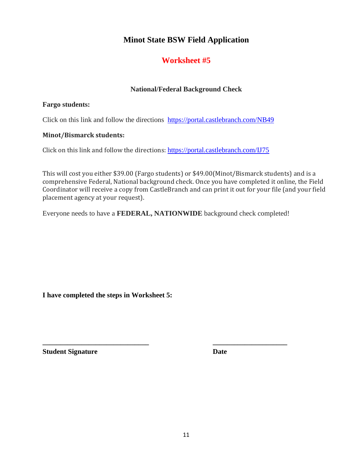# **Minot State BSW Field Application**

# **Worksheet #5**

## **National/Federal Background Check**

## **Fargo students:**

Click on this link and follow the directions <https://portal.castlebranch.com/NB49>

## **Minot/Bismarck students:**

Click on this link and follow the directions: <https://portal.castlebranch.com/IJ75>

This will cost you either \$39.00 (Fargo students) or \$49.00(Minot/Bismarck students) and is a comprehensive Federal, National background check. Once you have completed it online, the Field Coordinator will receive a copy from CastleBranch and can print it out for your file (and your field placement agency at your request).

Everyone needs to have a **FEDERAL, NATIONWIDE** background check completed!

**\_\_\_\_\_\_\_\_\_\_\_\_\_\_\_\_\_\_\_\_\_\_\_\_\_\_\_\_\_\_ \_\_\_\_\_\_\_\_\_\_\_\_\_\_\_\_\_\_\_\_\_**

**I have completed the steps in Worksheet 5:**

**Student Signature Date**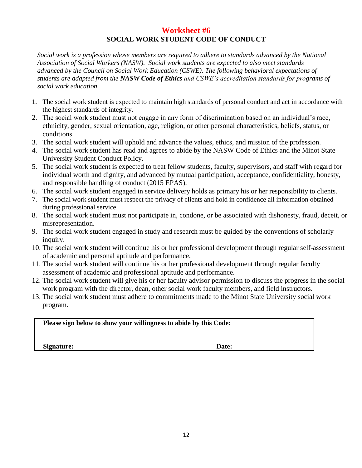# **Worksheet #6 SOCIAL WORK STUDENT CODE OF CONDUCT**

*Social work is a profession whose members are required to adhere to standards advanced by the National Association of Social Workers (NASW). Social work students are expected to also meet standards advanced by the Council on Social Work Education (CSWE). The following behavioral expectations of students are adapted from the NASW Code of Ethics and CSWE's accreditation standards for programs of social work education.*

- 1. The social work student is expected to maintain high standards of personal conduct and act in accordance with the highest standards of integrity.
- 2. The social work student must not engage in any form of discrimination based on an individual's race, ethnicity, gender, sexual orientation, age, religion, or other personal characteristics, beliefs, status, or conditions.
- 3. The social work student will uphold and advance the values, ethics, and mission of the profession.
- 4. The social work student has read and agrees to abide by the NASW Code of Ethics and the Minot State University Student Conduct Policy.
- 5. The social work student is expected to treat fellow students, faculty, supervisors, and staff with regard for individual worth and dignity, and advanced by mutual participation, acceptance, confidentiality, honesty, and responsible handling of conduct (2015 EPAS).
- 6. The social work student engaged in service delivery holds as primary his or her responsibility to clients.
- 7. The social work student must respect the privacy of clients and hold in confidence all information obtained during professional service.
- 8. The social work student must not participate in, condone, or be associated with dishonesty, fraud, deceit, or misrepresentation.
- 9. The social work student engaged in study and research must be guided by the conventions of scholarly inquiry.
- 10. The social work student will continue his or her professional development through regular self-assessment of academic and personal aptitude and performance.
- 11. The social work student will continue his or her professional development through regular faculty assessment of academic and professional aptitude and performance.
- 12. The social work student will give his or her faculty advisor permission to discuss the progress in the social work program with the director, dean, other social work faculty members, and field instructors.
- 13. The social work student must adhere to commitments made to the Minot State University social work program.

**Please sign below to show your willingness to abide by this Code:**

Signature: Date: